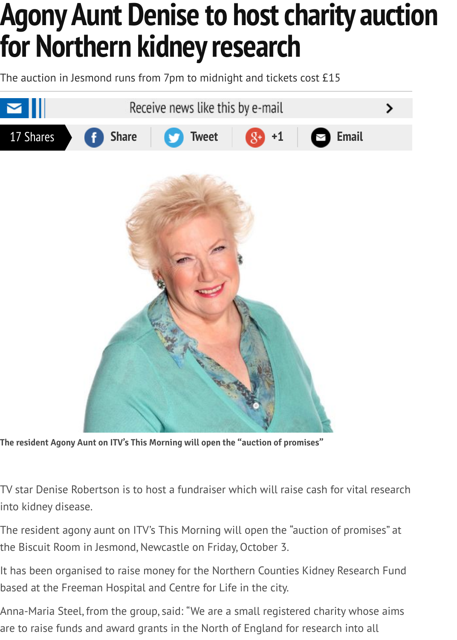

**The resident Agony Aunt on ITV's This Morning will open the "auction of promises"**

TV star Denise Robertson is to host a fundraiser which will raise cash for vital resear into kidney disease.

The resident agony aunt on ITV's This Morning will open the "auction of promises" at the Biscuit Room in Jesmond, Newcastle on Friday, October 3.

It has been organised to raise money for the Northern Counties Kidney Research Fun based at the Freeman Hospital and Centre for Life in the city.

Anna-Maria Steel, from the group, said: "We are a small registered charity whose aim are to raise funds and award grants in the North of England for research into all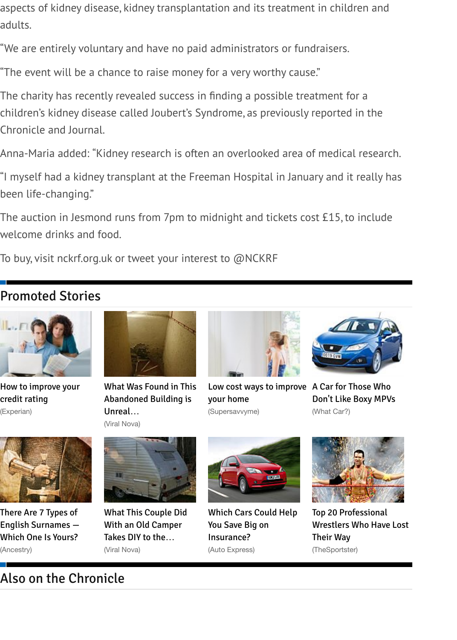Chronicle and Journal.

Anna-Maria added: "Kidney research is often an overlooked area of medical research.

"I myself had a kidney transplant at the Freeman Hospital in January and it really has been life-changing."

The auction in Jesmond runs from 7pm to midnight and tickets cost £15, to include welcome drinks and food.

To buy, visit nckrf.org.uk or tweet your interest to  $@N{\rm CKRF}$ 

### Promoted Stories



How to improve your credit rating





What Was Found in This Abandoned Building is Unreal… (Viral Nova)



Low cost ways to improve A Car for Those Who your home (Supersavvyme)



Don't Like Boxy MPVs (What Car?)



There Are 7 Types of [English Surnames —](http://www.experian.co.uk/experianhome2/) Which One Is Yours? (Ancestry)



[What This Couple Did](http://www.viralnova.com/explored-office-building-gallery/?mb=out) With an Old Camper Takes DIY to the… (Viral Nova)



[Which Cars Could Help](http://www.supersavvyme.co.uk/home-and-garden/decorating/article/low-cost-ways-to-improve-your-home) You Save Big on Insurance? (Auto Express)



Top 20 Professional Wrestlers Who Have Lo Their Way (TheSportster)

## [Also on the Chron](http://blogs.ancestry.co.uk/cm/there-are-7-types-of-english-surnames-which-one-is-yours/)[icle](http://www.viralnova.com/camper-project-gallery/?mb=out)